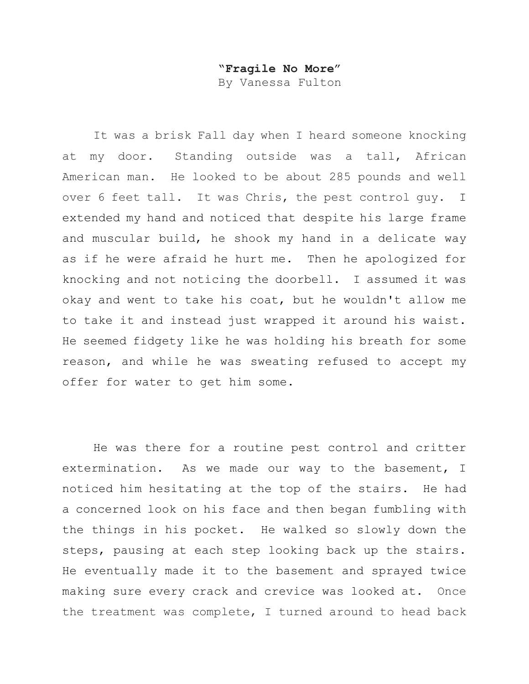## **"Fragile No More"**

By Vanessa Fulton

It was a brisk Fall day when I heard someone knocking at my door. Standing outside was a tall, African American man. He looked to be about 285 pounds and well over 6 feet tall. It was Chris, the pest control guy. I extended my hand and noticed that despite his large frame and muscular build, he shook my hand in a delicate way as if he were afraid he hurt me. Then he apologized for knocking and not noticing the doorbell. I assumed it was okay and went to take his coat, but he wouldn't allow me to take it and instead just wrapped it around his waist. He seemed fidgety like he was holding his breath for some reason, and while he was sweating refused to accept my offer for water to get him some.

He was there for a routine pest control and critter extermination. As we made our way to the basement, I noticed him hesitating at the top of the stairs. He had a concerned look on his face and then began fumbling with the things in his pocket. He walked so slowly down the steps, pausing at each step looking back up the stairs. He eventually made it to the basement and sprayed twice making sure every crack and crevice was looked at. Once the treatment was complete, I turned around to head back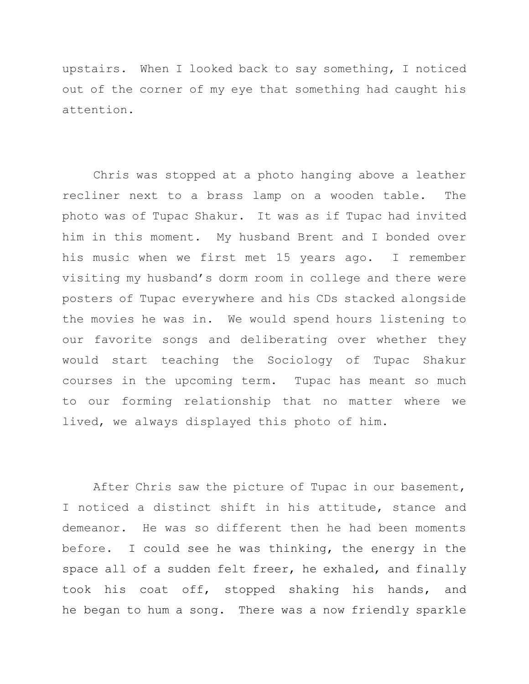upstairs. When I looked back to say something, I noticed out of the corner of my eye that something had caught his attention.

Chris was stopped at a photo hanging above a leather recliner next to a brass lamp on a wooden table. The photo was of Tupac Shakur. It was as if Tupac had invited him in this moment. My husband Brent and I bonded over his music when we first met 15 years ago. I remember visiting my husband's dorm room in college and there were posters of Tupac everywhere and his CDs stacked alongside the movies he was in. We would spend hours listening to our favorite songs and deliberating over whether they would start teaching the Sociology of Tupac Shakur courses in the upcoming term. Tupac has meant so much to our forming relationship that no matter where we lived, we always displayed this photo of him.

After Chris saw the picture of Tupac in our basement, I noticed a distinct shift in his attitude, stance and demeanor. He was so different then he had been moments before. I could see he was thinking, the energy in the space all of a sudden felt freer, he exhaled, and finally took his coat off, stopped shaking his hands, and he began to hum a song. There was a now friendly sparkle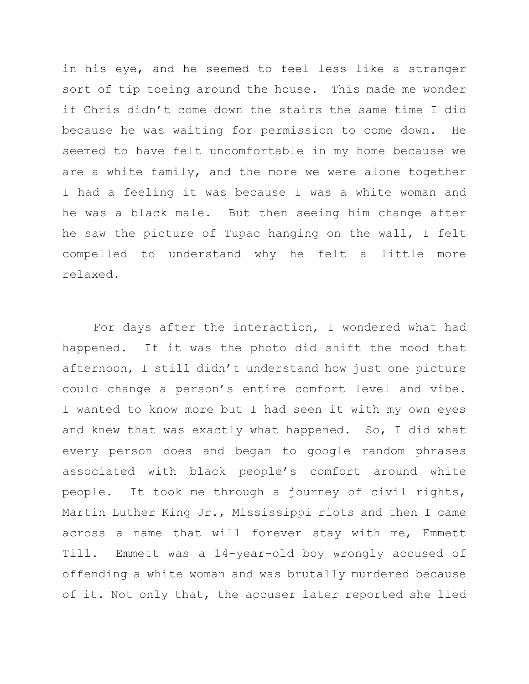in his eye, and he seemed to feel less like a stranger sort of tip toeing around the house. This made me wonder if Chris didn't come down the stairs the same time I did because he was waiting for permission to come down. He seemed to have felt uncomfortable in my home because we are a white family, and the more we were alone together I had a feeling it was because I was a white woman and he was a black male. But then seeing him change after he saw the picture of Tupac hanging on the wall, I felt compelled to understand why he felt a little more relaxed.

For days after the interaction, I wondered what had happened. If it was the photo did shift the mood that afternoon, I still didn't understand how just one picture could change a person's entire comfort level and vibe. I wanted to know more but I had seen it with my own eyes and knew that was exactly what happened. So, I did what every person does and began to google random phrases associated with black people's comfort around white people. It took me through a journey of civil rights, Martin Luther King Jr., Mississippi riots and then I came across a name that will forever stay with me, Emmett Till. Emmett was a 14-year-old boy wrongly accused of offending a white woman and was brutally murdered because of it. Not only that, the accuser later reported she lied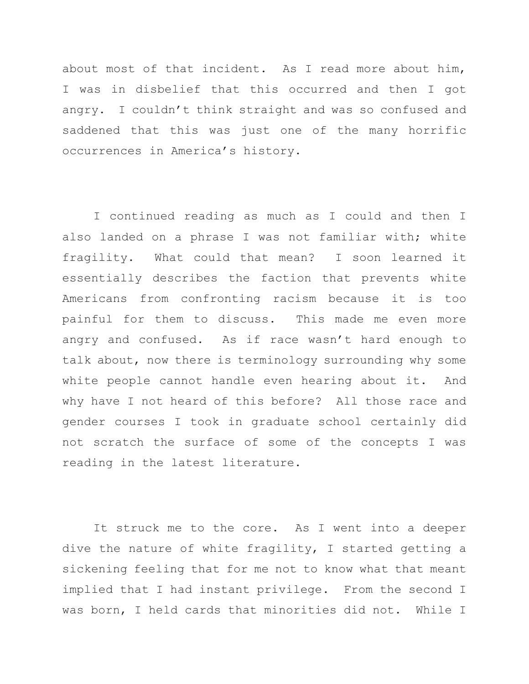about most of that incident. As I read more about him, I was in disbelief that this occurred and then I got angry. I couldn't think straight and was so confused and saddened that this was just one of the many horrific occurrences in America's history.

I continued reading as much as I could and then I also landed on a phrase I was not familiar with; white fragility. What could that mean? I soon learned it essentially describes the faction that prevents white Americans from confronting racism because it is too painful for them to discuss. This made me even more angry and confused. As if race wasn't hard enough to talk about, now there is terminology surrounding why some white people cannot handle even hearing about it. And why have I not heard of this before? All those race and gender courses I took in graduate school certainly did not scratch the surface of some of the concepts I was reading in the latest literature.

It struck me to the core. As I went into a deeper dive the nature of white fragility, I started getting a sickening feeling that for me not to know what that meant implied that I had instant privilege. From the second I was born, I held cards that minorities did not. While I